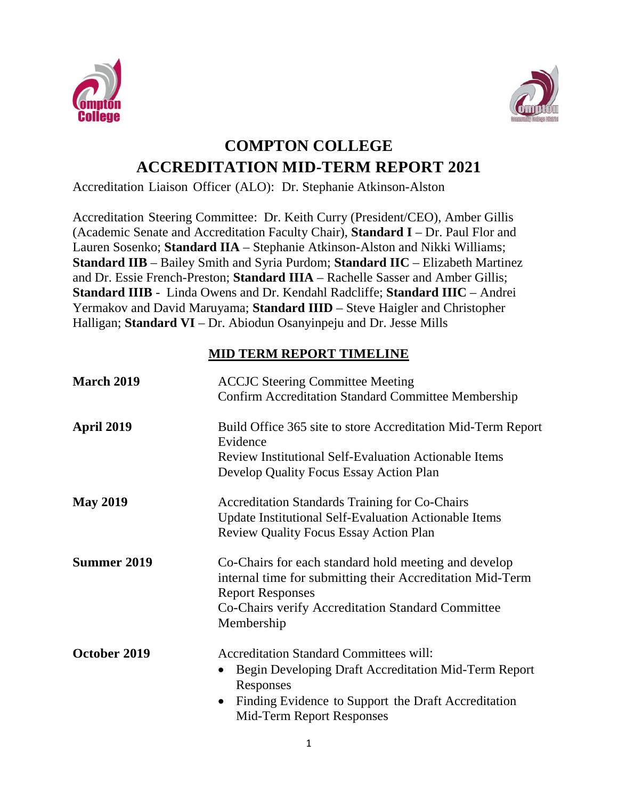



## **COMPTON COLLEGE ACCREDITATION MID-TERM REPORT 2021**

Accreditation Liaison Officer (ALO): Dr. Stephanie Atkinson-Alston

Accreditation Steering Committee: Dr. Keith Curry (President/CEO), Amber Gillis (Academic Senate and Accreditation Faculty Chair), **Standard I** – Dr. Paul Flor and Lauren Sosenko; **Standard IIA** – Stephanie Atkinson-Alston and Nikki Williams; **Standard IIB** – Bailey Smith and Syria Purdom; **Standard IIC** – Elizabeth Martinez and Dr. Essie French-Preston; **Standard IIIA** – Rachelle Sasser and Amber Gillis; **Standard IIIB** - Linda Owens and Dr. Kendahl Radcliffe; **Standard IIIC** – Andrei Yermakov and David Maruyama; **Standard IIID** – Steve Haigler and Christopher Halligan; **Standard VI** – Dr. Abiodun Osanyinpeju and Dr. Jesse Mills

## **MID TERM REPORT TIMELINE**

| <b>March 2019</b>  | <b>ACCJC</b> Steering Committee Meeting<br><b>Confirm Accreditation Standard Committee Membership</b>                                                                                                                |
|--------------------|----------------------------------------------------------------------------------------------------------------------------------------------------------------------------------------------------------------------|
| <b>April 2019</b>  | Build Office 365 site to store Accreditation Mid-Term Report<br>Evidence<br><b>Review Institutional Self-Evaluation Actionable Items</b><br>Develop Quality Focus Essay Action Plan                                  |
| <b>May 2019</b>    | <b>Accreditation Standards Training for Co-Chairs</b><br><b>Update Institutional Self-Evaluation Actionable Items</b><br><b>Review Quality Focus Essay Action Plan</b>                                               |
| <b>Summer 2019</b> | Co-Chairs for each standard hold meeting and develop<br>internal time for submitting their Accreditation Mid-Term<br><b>Report Responses</b><br>Co-Chairs verify Accreditation Standard Committee<br>Membership      |
| October 2019       | <b>Accreditation Standard Committees will:</b><br>Begin Developing Draft Accreditation Mid-Term Report<br>Responses<br>Finding Evidence to Support the Draft Accreditation<br>$\bullet$<br>Mid-Term Report Responses |